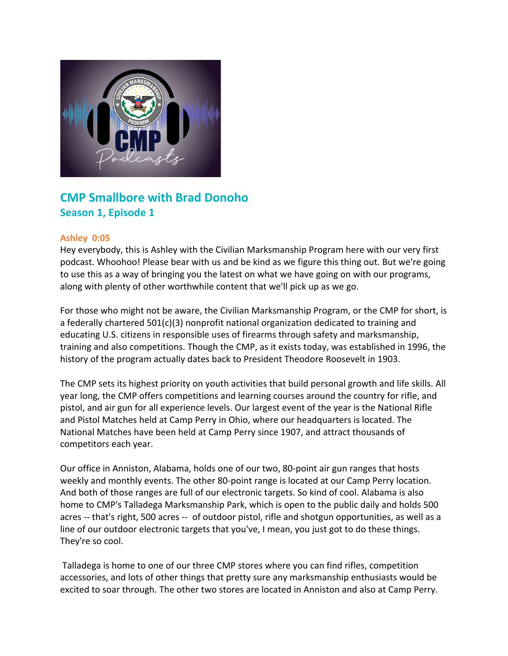

# **CMP Smallbore with Brad Donoho Season 1, Episode 1**

# **Ashley 0:05**

Hey everybody, this is Ashley with the Civilian Marksmanship Program here with our very first podcast. Whoohoo! Please bear with us and be kind as we figure this thing out. But we're going to use this as a way of bringing you the latest on what we have going on with our programs, along with plenty of other worthwhile content that we'll pick up as we go.

For those who might not be aware, the Civilian Marksmanship Program, or the CMP for short, is a federally chartered 501(c)(3) nonprofit national organization dedicated to training and educating U.S. citizens in responsible uses of firearms through safety and marksmanship, training and also competitions. Though the CMP, as it exists today, was established in 1996, the history of the program actually dates back to President Theodore Roosevelt in 1903.

The CMP sets its highest priority on youth activities that build personal growth and life skills. All year long, the CMP offers competitions and learning courses around the country for rifle, and pistol, and air gun for all experience levels. Our largest event of the year is the National Rifle and Pistol Matches held at Camp Perry in Ohio, where our headquarters is located. The National Matches have been held at Camp Perry since 1907, and attract thousands of competitors each year.

Our office in Anniston, Alabama, holds one of our two, 80-point air gun ranges that hosts weekly and monthly events. The other 80-point range is located at our Camp Perry location. And both of those ranges are full of our electronic targets. So kind of cool. Alabama is also home to CMP's Talladega Marksmanship Park, which is open to the public daily and holds 500 acres -- that's right, 500 acres -- of outdoor pistol, rifle and shotgun opportunities, as well as a line of our outdoor electronic targets that you've, I mean, you just got to do these things. They're so cool.

Talladega is home to one of our three CMP stores where you can find rifles, competition accessories, and lots of other things that pretty sure any marksmanship enthusiasts would be excited to soar through. The other two stores are located in Anniston and also at Camp Perry.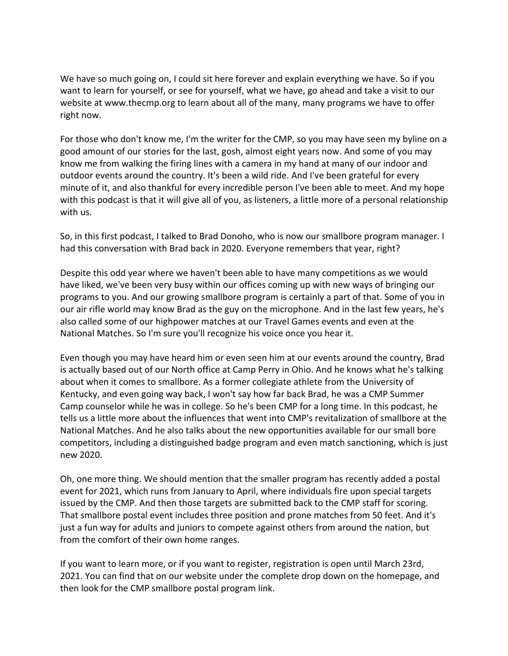We have so much going on, I could sit here forever and explain everything we have. So if you want to learn for yourself, or see for yourself, what we have, go ahead and take a visit to our website at www.thecmp.org to learn about all of the many, many programs we have to offer right now.

For those who don't know me, I'm the writer for the CMP, so you may have seen my byline on a good amount of our stories for the last, gosh, almost eight years now. And some of you may know me from walking the firing lines with a camera in my hand at many of our indoor and outdoor events around the country. It's been a wild ride. And I've been grateful for every minute of it, and also thankful for every incredible person I've been able to meet. And my hope with this podcast is that it will give all of you, as listeners, a little more of a personal relationship with us.

So, in this first podcast, I talked to Brad Donoho, who is now our smallbore program manager. I had this conversation with Brad back in 2020. Everyone remembers that year, right?

Despite this odd year where we haven't been able to have many competitions as we would have liked, we've been very busy within our offices coming up with new ways of bringing our programs to you. And our growing smallbore program is certainly a part of that. Some of you in our air rifle world may know Brad as the guy on the microphone. And in the last few years, he's also called some of our highpower matches at our Travel Games events and even at the National Matches. So I'm sure you'll recognize his voice once you hear it.

Even though you may have heard him or even seen him at our events around the country, Brad is actually based out of our North office at Camp Perry in Ohio. And he knows what he's talking about when it comes to smallbore. As a former collegiate athlete from the University of Kentucky, and even going way back, I won't say how far back Brad, he was a CMP Summer Camp counselor while he was in college. So he's been CMP for a long time. In this podcast, he tells us a little more about the influences that went into CMP's revitalization of smallbore at the National Matches. And he also talks about the new opportunities available for our small bore competitors, including a distinguished badge program and even match sanctioning, which is just new 2020.

Oh, one more thing. We should mention that the smaller program has recently added a postal event for 2021, which runs from January to April, where individuals fire upon special targets issued by the CMP. And then those targets are submitted back to the CMP staff for scoring. That smallbore postal event includes three position and prone matches from 50 feet. And it's just a fun way for adults and juniors to compete against others from around the nation, but from the comfort of their own home ranges.

If you want to learn more, or if you want to register, registration is open until March 23rd, 2021. You can find that on our website under the complete drop down on the homepage, and then look for the CMP smallbore postal program link.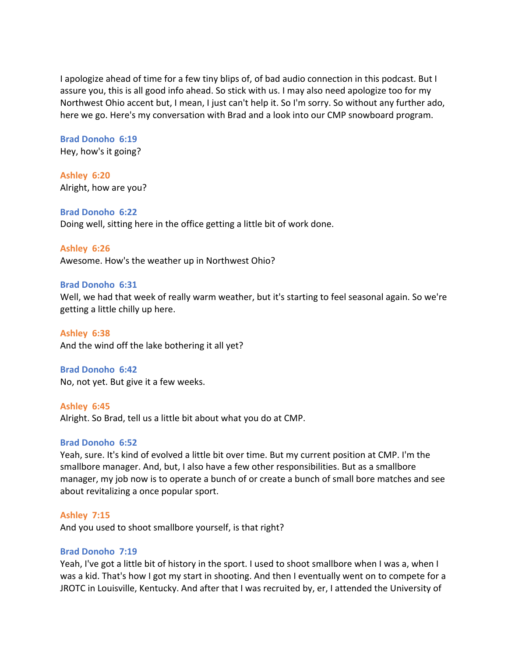I apologize ahead of time for a few tiny blips of, of bad audio connection in this podcast. But I assure you, this is all good info ahead. So stick with us. I may also need apologize too for my Northwest Ohio accent but, I mean, I just can't help it. So I'm sorry. So without any further ado, here we go. Here's my conversation with Brad and a look into our CMP snowboard program.

**Brad Donoho 6:19**  Hey, how's it going?

**Ashley 6:20**  Alright, how are you?

# **Brad Donoho 6:22**

Doing well, sitting here in the office getting a little bit of work done.

## **Ashley 6:26**

Awesome. How's the weather up in Northwest Ohio?

## **Brad Donoho 6:31**

Well, we had that week of really warm weather, but it's starting to feel seasonal again. So we're getting a little chilly up here.

**Ashley 6:38**  And the wind off the lake bothering it all yet?

#### **Brad Donoho 6:42**

No, not yet. But give it a few weeks.

**Ashley 6:45**  Alright. So Brad, tell us a little bit about what you do at CMP.

# **Brad Donoho 6:52**

Yeah, sure. It's kind of evolved a little bit over time. But my current position at CMP. I'm the smallbore manager. And, but, I also have a few other responsibilities. But as a smallbore manager, my job now is to operate a bunch of or create a bunch of small bore matches and see about revitalizing a once popular sport.

#### **Ashley 7:15**

And you used to shoot smallbore yourself, is that right?

## **Brad Donoho 7:19**

Yeah, I've got a little bit of history in the sport. I used to shoot smallbore when I was a, when I was a kid. That's how I got my start in shooting. And then I eventually went on to compete for a JROTC in Louisville, Kentucky. And after that I was recruited by, er, I attended the University of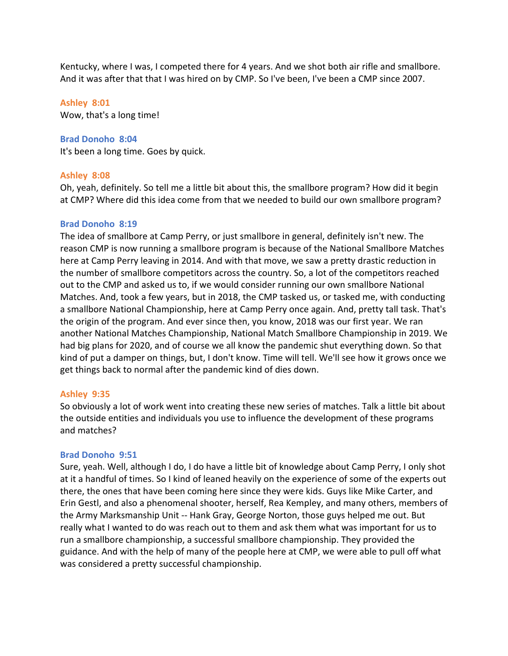Kentucky, where I was, I competed there for 4 years. And we shot both air rifle and smallbore. And it was after that that I was hired on by CMP. So I've been, I've been a CMP since 2007.

#### **Ashley 8:01**

Wow, that's a long time!

#### **Brad Donoho 8:04**

It's been a long time. Goes by quick.

#### **Ashley 8:08**

Oh, yeah, definitely. So tell me a little bit about this, the smallbore program? How did it begin at CMP? Where did this idea come from that we needed to build our own smallbore program?

## **Brad Donoho 8:19**

The idea of smallbore at Camp Perry, or just smallbore in general, definitely isn't new. The reason CMP is now running a smallbore program is because of the National Smallbore Matches here at Camp Perry leaving in 2014. And with that move, we saw a pretty drastic reduction in the number of smallbore competitors across the country. So, a lot of the competitors reached out to the CMP and asked us to, if we would consider running our own smallbore National Matches. And, took a few years, but in 2018, the CMP tasked us, or tasked me, with conducting a smallbore National Championship, here at Camp Perry once again. And, pretty tall task. That's the origin of the program. And ever since then, you know, 2018 was our first year. We ran another National Matches Championship, National Match Smallbore Championship in 2019. We had big plans for 2020, and of course we all know the pandemic shut everything down. So that kind of put a damper on things, but, I don't know. Time will tell. We'll see how it grows once we get things back to normal after the pandemic kind of dies down.

#### **Ashley 9:35**

So obviously a lot of work went into creating these new series of matches. Talk a little bit about the outside entities and individuals you use to influence the development of these programs and matches?

#### **Brad Donoho 9:51**

Sure, yeah. Well, although I do, I do have a little bit of knowledge about Camp Perry, I only shot at it a handful of times. So I kind of leaned heavily on the experience of some of the experts out there, the ones that have been coming here since they were kids. Guys like Mike Carter, and Erin Gestl, and also a phenomenal shooter, herself, Rea Kempley, and many others, members of the Army Marksmanship Unit -- Hank Gray, George Norton, those guys helped me out. But really what I wanted to do was reach out to them and ask them what was important for us to run a smallbore championship, a successful smallbore championship. They provided the guidance. And with the help of many of the people here at CMP, we were able to pull off what was considered a pretty successful championship.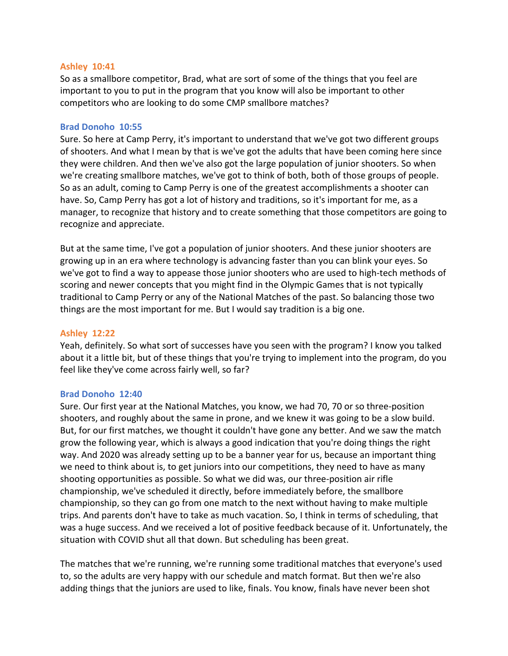# **Ashley 10:41**

So as a smallbore competitor, Brad, what are sort of some of the things that you feel are important to you to put in the program that you know will also be important to other competitors who are looking to do some CMP smallbore matches?

## **Brad Donoho 10:55**

Sure. So here at Camp Perry, it's important to understand that we've got two different groups of shooters. And what I mean by that is we've got the adults that have been coming here since they were children. And then we've also got the large population of junior shooters. So when we're creating smallbore matches, we've got to think of both, both of those groups of people. So as an adult, coming to Camp Perry is one of the greatest accomplishments a shooter can have. So, Camp Perry has got a lot of history and traditions, so it's important for me, as a manager, to recognize that history and to create something that those competitors are going to recognize and appreciate.

But at the same time, I've got a population of junior shooters. And these junior shooters are growing up in an era where technology is advancing faster than you can blink your eyes. So we've got to find a way to appease those junior shooters who are used to high-tech methods of scoring and newer concepts that you might find in the Olympic Games that is not typically traditional to Camp Perry or any of the National Matches of the past. So balancing those two things are the most important for me. But I would say tradition is a big one.

# **Ashley 12:22**

Yeah, definitely. So what sort of successes have you seen with the program? I know you talked about it a little bit, but of these things that you're trying to implement into the program, do you feel like they've come across fairly well, so far?

# **Brad Donoho 12:40**

Sure. Our first year at the National Matches, you know, we had 70, 70 or so three-position shooters, and roughly about the same in prone, and we knew it was going to be a slow build. But, for our first matches, we thought it couldn't have gone any better. And we saw the match grow the following year, which is always a good indication that you're doing things the right way. And 2020 was already setting up to be a banner year for us, because an important thing we need to think about is, to get juniors into our competitions, they need to have as many shooting opportunities as possible. So what we did was, our three-position air rifle championship, we've scheduled it directly, before immediately before, the smallbore championship, so they can go from one match to the next without having to make multiple trips. And parents don't have to take as much vacation. So, I think in terms of scheduling, that was a huge success. And we received a lot of positive feedback because of it. Unfortunately, the situation with COVID shut all that down. But scheduling has been great.

The matches that we're running, we're running some traditional matches that everyone's used to, so the adults are very happy with our schedule and match format. But then we're also adding things that the juniors are used to like, finals. You know, finals have never been shot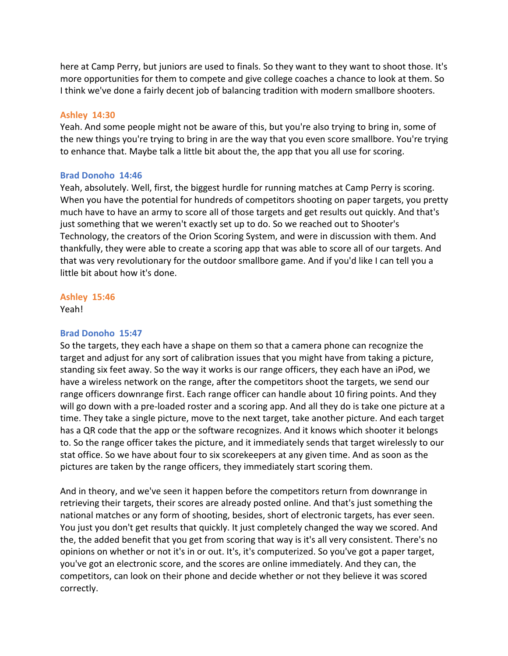here at Camp Perry, but juniors are used to finals. So they want to they want to shoot those. It's more opportunities for them to compete and give college coaches a chance to look at them. So I think we've done a fairly decent job of balancing tradition with modern smallbore shooters.

# **Ashley 14:30**

Yeah. And some people might not be aware of this, but you're also trying to bring in, some of the new things you're trying to bring in are the way that you even score smallbore. You're trying to enhance that. Maybe talk a little bit about the, the app that you all use for scoring.

# **Brad Donoho 14:46**

Yeah, absolutely. Well, first, the biggest hurdle for running matches at Camp Perry is scoring. When you have the potential for hundreds of competitors shooting on paper targets, you pretty much have to have an army to score all of those targets and get results out quickly. And that's just something that we weren't exactly set up to do. So we reached out to Shooter's Technology, the creators of the Orion Scoring System, and were in discussion with them. And thankfully, they were able to create a scoring app that was able to score all of our targets. And that was very revolutionary for the outdoor smallbore game. And if you'd like I can tell you a little bit about how it's done.

# **Ashley 15:46**

Yeah!

# **Brad Donoho 15:47**

So the targets, they each have a shape on them so that a camera phone can recognize the target and adjust for any sort of calibration issues that you might have from taking a picture, standing six feet away. So the way it works is our range officers, they each have an iPod, we have a wireless network on the range, after the competitors shoot the targets, we send our range officers downrange first. Each range officer can handle about 10 firing points. And they will go down with a pre-loaded roster and a scoring app. And all they do is take one picture at a time. They take a single picture, move to the next target, take another picture. And each target has a QR code that the app or the software recognizes. And it knows which shooter it belongs to. So the range officer takes the picture, and it immediately sends that target wirelessly to our stat office. So we have about four to six scorekeepers at any given time. And as soon as the pictures are taken by the range officers, they immediately start scoring them.

And in theory, and we've seen it happen before the competitors return from downrange in retrieving their targets, their scores are already posted online. And that's just something the national matches or any form of shooting, besides, short of electronic targets, has ever seen. You just you don't get results that quickly. It just completely changed the way we scored. And the, the added benefit that you get from scoring that way is it's all very consistent. There's no opinions on whether or not it's in or out. It's, it's computerized. So you've got a paper target, you've got an electronic score, and the scores are online immediately. And they can, the competitors, can look on their phone and decide whether or not they believe it was scored correctly.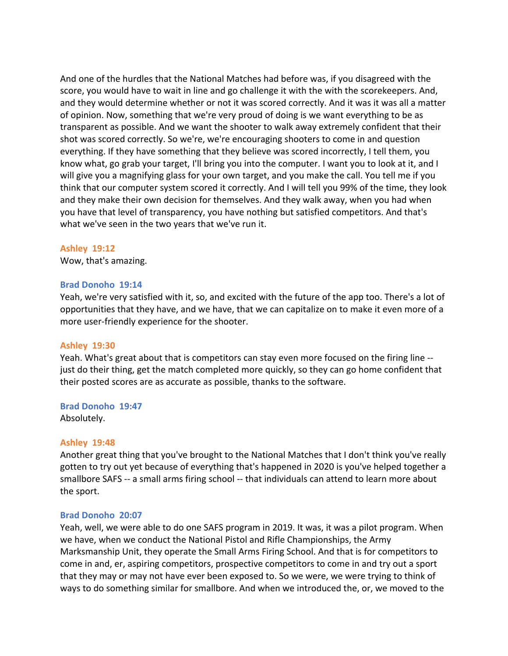And one of the hurdles that the National Matches had before was, if you disagreed with the score, you would have to wait in line and go challenge it with the with the scorekeepers. And, and they would determine whether or not it was scored correctly. And it was it was all a matter of opinion. Now, something that we're very proud of doing is we want everything to be as transparent as possible. And we want the shooter to walk away extremely confident that their shot was scored correctly. So we're, we're encouraging shooters to come in and question everything. If they have something that they believe was scored incorrectly, I tell them, you know what, go grab your target, I'll bring you into the computer. I want you to look at it, and I will give you a magnifying glass for your own target, and you make the call. You tell me if you think that our computer system scored it correctly. And I will tell you 99% of the time, they look and they make their own decision for themselves. And they walk away, when you had when you have that level of transparency, you have nothing but satisfied competitors. And that's what we've seen in the two years that we've run it.

# **Ashley 19:12**

Wow, that's amazing.

## **Brad Donoho 19:14**

Yeah, we're very satisfied with it, so, and excited with the future of the app too. There's a lot of opportunities that they have, and we have, that we can capitalize on to make it even more of a more user-friendly experience for the shooter.

#### **Ashley 19:30**

Yeah. What's great about that is competitors can stay even more focused on the firing line - just do their thing, get the match completed more quickly, so they can go home confident that their posted scores are as accurate as possible, thanks to the software.

#### **Brad Donoho 19:47**

Absolutely.

# **Ashley 19:48**

Another great thing that you've brought to the National Matches that I don't think you've really gotten to try out yet because of everything that's happened in 2020 is you've helped together a smallbore SAFS -- a small arms firing school -- that individuals can attend to learn more about the sport.

# **Brad Donoho 20:07**

Yeah, well, we were able to do one SAFS program in 2019. It was, it was a pilot program. When we have, when we conduct the National Pistol and Rifle Championships, the Army Marksmanship Unit, they operate the Small Arms Firing School. And that is for competitors to come in and, er, aspiring competitors, prospective competitors to come in and try out a sport that they may or may not have ever been exposed to. So we were, we were trying to think of ways to do something similar for smallbore. And when we introduced the, or, we moved to the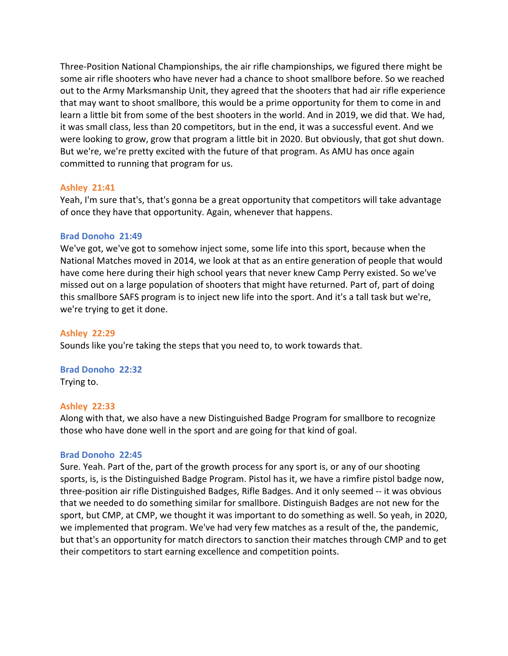Three-Position National Championships, the air rifle championships, we figured there might be some air rifle shooters who have never had a chance to shoot smallbore before. So we reached out to the Army Marksmanship Unit, they agreed that the shooters that had air rifle experience that may want to shoot smallbore, this would be a prime opportunity for them to come in and learn a little bit from some of the best shooters in the world. And in 2019, we did that. We had, it was small class, less than 20 competitors, but in the end, it was a successful event. And we were looking to grow, grow that program a little bit in 2020. But obviously, that got shut down. But we're, we're pretty excited with the future of that program. As AMU has once again committed to running that program for us.

## **Ashley 21:41**

Yeah, I'm sure that's, that's gonna be a great opportunity that competitors will take advantage of once they have that opportunity. Again, whenever that happens.

#### **Brad Donoho 21:49**

We've got, we've got to somehow inject some, some life into this sport, because when the National Matches moved in 2014, we look at that as an entire generation of people that would have come here during their high school years that never knew Camp Perry existed. So we've missed out on a large population of shooters that might have returned. Part of, part of doing this smallbore SAFS program is to inject new life into the sport. And it's a tall task but we're, we're trying to get it done.

#### **Ashley 22:29**

Sounds like you're taking the steps that you need to, to work towards that.

# **Brad Donoho 22:32**

Trying to.

#### **Ashley 22:33**

Along with that, we also have a new Distinguished Badge Program for smallbore to recognize those who have done well in the sport and are going for that kind of goal.

#### **Brad Donoho 22:45**

Sure. Yeah. Part of the, part of the growth process for any sport is, or any of our shooting sports, is, is the Distinguished Badge Program. Pistol has it, we have a rimfire pistol badge now, three-position air rifle Distinguished Badges, Rifle Badges. And it only seemed -- it was obvious that we needed to do something similar for smallbore. Distinguish Badges are not new for the sport, but CMP, at CMP, we thought it was important to do something as well. So yeah, in 2020, we implemented that program. We've had very few matches as a result of the, the pandemic, but that's an opportunity for match directors to sanction their matches through CMP and to get their competitors to start earning excellence and competition points.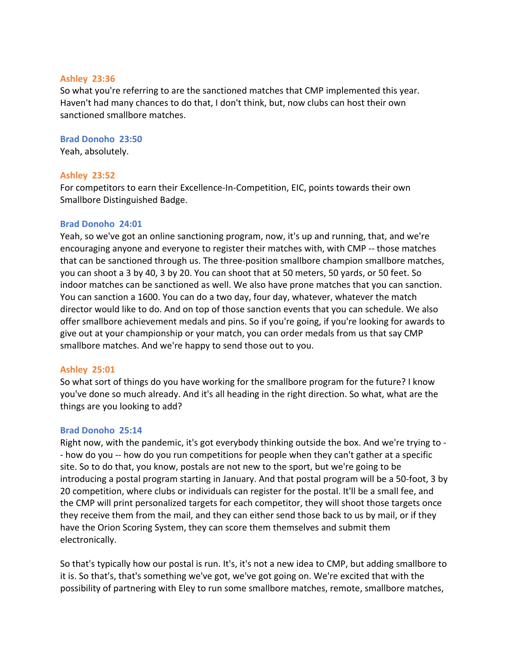# **Ashley 23:36**

So what you're referring to are the sanctioned matches that CMP implemented this year. Haven't had many chances to do that, I don't think, but, now clubs can host their own sanctioned smallbore matches.

## **Brad Donoho 23:50**

Yeah, absolutely.

# **Ashley 23:52**

For competitors to earn their Excellence-In-Competition, EIC, points towards their own Smallbore Distinguished Badge.

# **Brad Donoho 24:01**

Yeah, so we've got an online sanctioning program, now, it's up and running, that, and we're encouraging anyone and everyone to register their matches with, with CMP -- those matches that can be sanctioned through us. The three-position smallbore champion smallbore matches, you can shoot a 3 by 40, 3 by 20. You can shoot that at 50 meters, 50 yards, or 50 feet. So indoor matches can be sanctioned as well. We also have prone matches that you can sanction. You can sanction a 1600. You can do a two day, four day, whatever, whatever the match director would like to do. And on top of those sanction events that you can schedule. We also offer smallbore achievement medals and pins. So if you're going, if you're looking for awards to give out at your championship or your match, you can order medals from us that say CMP smallbore matches. And we're happy to send those out to you.

# **Ashley 25:01**

So what sort of things do you have working for the smallbore program for the future? I know you've done so much already. And it's all heading in the right direction. So what, what are the things are you looking to add?

# **Brad Donoho 25:14**

Right now, with the pandemic, it's got everybody thinking outside the box. And we're trying to - - how do you -- how do you run competitions for people when they can't gather at a specific site. So to do that, you know, postals are not new to the sport, but we're going to be introducing a postal program starting in January. And that postal program will be a 50-foot, 3 by 20 competition, where clubs or individuals can register for the postal. It'll be a small fee, and the CMP will print personalized targets for each competitor, they will shoot those targets once they receive them from the mail, and they can either send those back to us by mail, or if they have the Orion Scoring System, they can score them themselves and submit them electronically.

So that's typically how our postal is run. It's, it's not a new idea to CMP, but adding smallbore to it is. So that's, that's something we've got, we've got going on. We're excited that with the possibility of partnering with Eley to run some smallbore matches, remote, smallbore matches,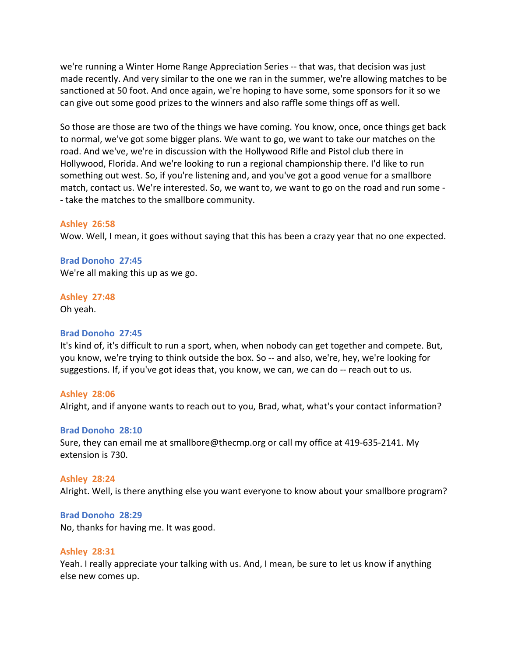we're running a Winter Home Range Appreciation Series -- that was, that decision was just made recently. And very similar to the one we ran in the summer, we're allowing matches to be sanctioned at 50 foot. And once again, we're hoping to have some, some sponsors for it so we can give out some good prizes to the winners and also raffle some things off as well.

So those are those are two of the things we have coming. You know, once, once things get back to normal, we've got some bigger plans. We want to go, we want to take our matches on the road. And we've, we're in discussion with the Hollywood Rifle and Pistol club there in Hollywood, Florida. And we're looking to run a regional championship there. I'd like to run something out west. So, if you're listening and, and you've got a good venue for a smallbore match, contact us. We're interested. So, we want to, we want to go on the road and run some - - take the matches to the smallbore community.

#### **Ashley 26:58**

Wow. Well, I mean, it goes without saying that this has been a crazy year that no one expected.

**Brad Donoho 27:45**  We're all making this up as we go.

**Ashley 27:48** 

Oh yeah.

#### **Brad Donoho 27:45**

It's kind of, it's difficult to run a sport, when, when nobody can get together and compete. But, you know, we're trying to think outside the box. So -- and also, we're, hey, we're looking for suggestions. If, if you've got ideas that, you know, we can, we can do -- reach out to us.

#### **Ashley 28:06**

Alright, and if anyone wants to reach out to you, Brad, what, what's your contact information?

#### **Brad Donoho 28:10**

Sure, they can email me at smallbore@thecmp.org or call my office at 419-635-2141. My extension is 730.

#### **Ashley 28:24**

Alright. Well, is there anything else you want everyone to know about your smallbore program?

#### **Brad Donoho 28:29**

No, thanks for having me. It was good.

#### **Ashley 28:31**

Yeah. I really appreciate your talking with us. And, I mean, be sure to let us know if anything else new comes up.